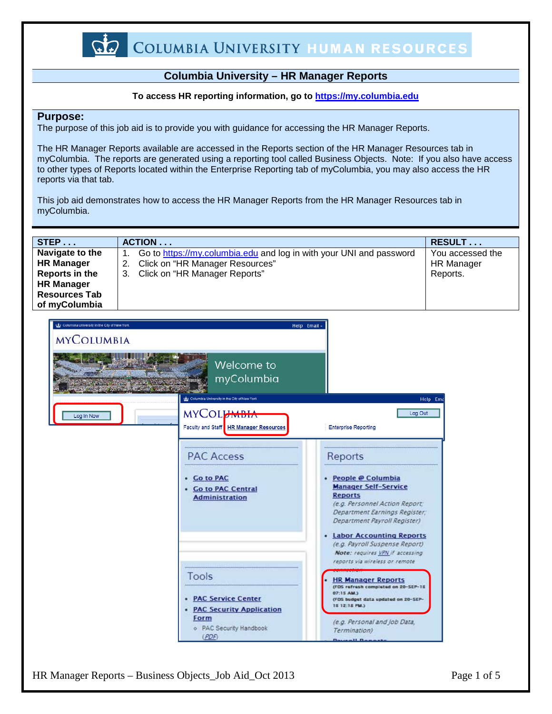

### **Columbia University – HR Manager Reports**

#### **To access HR reporting information, go to [https://my.columbia.edu](https://my.columbia.edu/)**

#### **Purpose:**

The purpose of this job aid is to provide you with guidance for accessing the HR Manager Reports.

The HR Manager Reports available are accessed in the Reports section of the HR Manager Resources tab in myColumbia. The reports are generated using a reporting tool called Business Objects. Note: If you also have access to other types of Reports located within the Enterprise Reporting tab of myColumbia, you may also access the HR reports via that tab.

This job aid demonstrates how to access the HR Manager Reports from the HR Manager Resources tab in myColumbia.



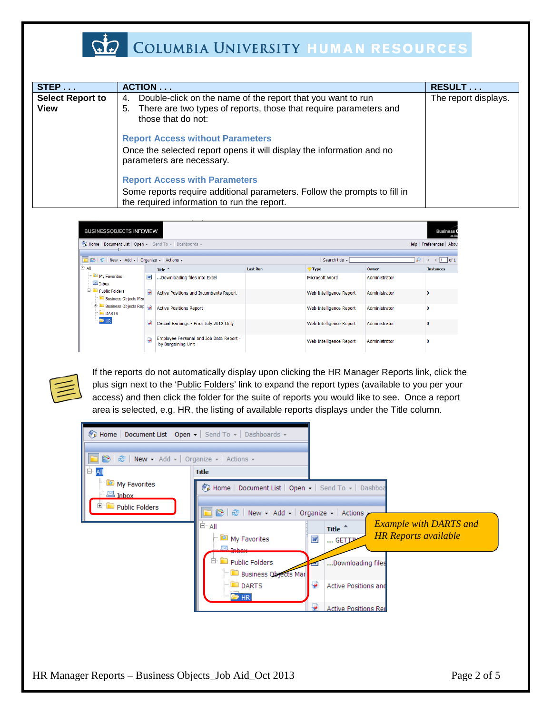

## COLUMBIA UNIVERSITY HUMAN RESOURCES

| STEP                            | ACTION                                                                                                                                                             | RESULT               |
|---------------------------------|--------------------------------------------------------------------------------------------------------------------------------------------------------------------|----------------------|
| <b>Select Report to</b><br>View | Double-click on the name of the report that you want to run<br>4.<br>There are two types of reports, those that require parameters and<br>5.<br>those that do not: | The report displays. |
|                                 | <b>Report Access without Parameters</b><br>Once the selected report opens it will display the information and no<br>parameters are necessary.                      |                      |
|                                 | <b>Report Access with Parameters</b><br>Some reports require additional parameters. Follow the prompts to fill in<br>the required information to run the report.   |                      |

| <b>BUSINESSOBJECTS INFOVIEW</b>                                                 |   |                                                               |                 |                         |               | <b>Business</b><br>an S/               |
|---------------------------------------------------------------------------------|---|---------------------------------------------------------------|-----------------|-------------------------|---------------|----------------------------------------|
| Fe Home   Document List   Open -   Send To -   Dashboards -                     |   |                                                               |                 |                         |               | Help Preferences About                 |
| <b>B</b> $\frac{1}{20}$ New - Add - Organize - Actions -                        |   |                                                               |                 | Search title v          | ₽             | of 1<br>$\leftarrow$ 1<br>$\mathbb{N}$ |
| lė<br>All                                                                       |   | Title $-$                                                     | <b>Last Run</b> | $\P$ Type               | Owner         | <b>Instances</b>                       |
| My Favorites<br>$\frac{1}{2}$ Inbox                                             | W | Downloading files into Excel                                  |                 | Microsoft Word          | Administrator |                                        |
| Public Folders<br><b>Business Objects Mar</b>                                   | ٠ | Active Positions and Incumbents Report                        |                 | Web Intelligence Report | Administrator | $\bf{0}$                               |
| <b>B</b> Business Objects Rep<br>$\blacksquare$ DARTS<br><b>B</b> <sub>HR</sub> |   | <b>Active Positions Report</b>                                |                 | Web Intelligence Report | Administrator | 0                                      |
|                                                                                 | ۵ | Casual Earnings - Prior July 2012 Only                        |                 | Web Intelligence Report | Administrator | 0                                      |
|                                                                                 | ۰ | Employee Personal and Job Data Report -<br>by Bargaining Unit |                 | Web Intelligence Report | Administrator | 0                                      |



If the reports do not automatically display upon clicking the HR Manager Reports link, click the plus sign next to the 'Public Folders' link to expand the report types (available to you per your access) and then click the folder for the suite of reports you would like to see. Once a report area is selected, e.g. HR, the listing of available reports displays under the Title column.

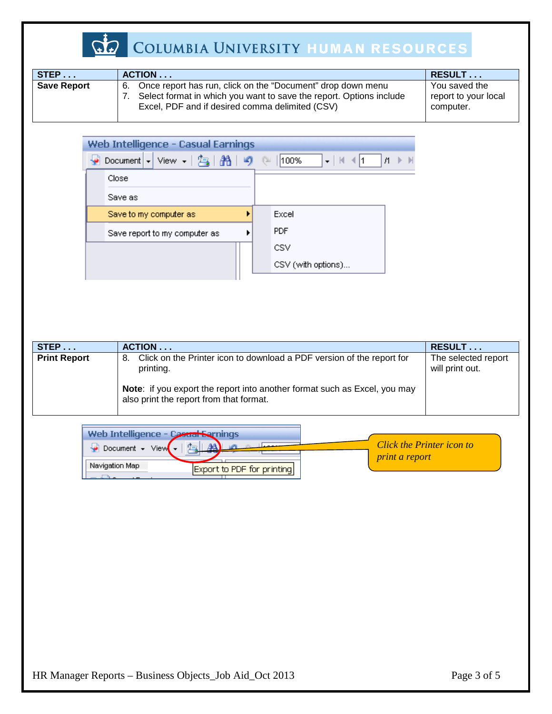

# COLUMBIA UNIVERSITY HUMAN RESOURCES

| STEP               | ACTION                                                                                                                                                                                      | <b>RESULT</b>                                      |
|--------------------|---------------------------------------------------------------------------------------------------------------------------------------------------------------------------------------------|----------------------------------------------------|
| <b>Save Report</b> | Once report has run, click on the "Document" drop down menu<br>6.<br>Select format in which you want to save the report. Options include<br>Excel, PDF and if desired comma delimited (CSV) | You saved the<br>report to your local<br>computer. |

| Web Intelligence - Casual Earnings                                                                                                                                                                                                                                                                           |                    |
|--------------------------------------------------------------------------------------------------------------------------------------------------------------------------------------------------------------------------------------------------------------------------------------------------------------|--------------------|
| • Document - View - $\frac{1}{2}$ $\frac{3}{10}$ $\frac{3}{2}$ $\frac{1}{2}$ $\frac{3}{2}$ $\frac{1}{2}$ $\frac{1}{2}$ $\frac{1}{2}$ $\frac{1}{2}$ $\frac{1}{2}$ $\frac{1}{2}$ $\frac{1}{2}$ $\frac{1}{2}$ $\frac{1}{2}$ $\frac{1}{2}$ $\frac{1}{2}$ $\frac{1}{2}$ $\frac{1}{2}$ $\frac{1}{2}$ $\frac{1}{2}$ |                    |
| Close                                                                                                                                                                                                                                                                                                        |                    |
| Save as                                                                                                                                                                                                                                                                                                      |                    |
| Save to my computer as                                                                                                                                                                                                                                                                                       | Excel              |
| Save report to my computer as                                                                                                                                                                                                                                                                                | <b>PDF</b>         |
|                                                                                                                                                                                                                                                                                                              | <b>CSV</b>         |
|                                                                                                                                                                                                                                                                                                              | CSV (with options) |

| STEP                | ACTION                                                                                                               | RESULT                                 |
|---------------------|----------------------------------------------------------------------------------------------------------------------|----------------------------------------|
| <b>Print Report</b> | Click on the Printer icon to download a PDF version of the report for<br>-8.<br>printing.                            | The selected report<br>will print out. |
|                     | Note: if you export the report into another format such as Excel, you may<br>also print the report from that format. |                                        |

| Web Intelligence - Casual Earnings        |                            |                                  |
|-------------------------------------------|----------------------------|----------------------------------|
| $\rightarrow$ Document $\rightarrow$ View |                            | <b>Click the Printer icon to</b> |
| Navigation Map                            | Export to PDF for printing | <i>print a report</i>            |
|                                           |                            |                                  |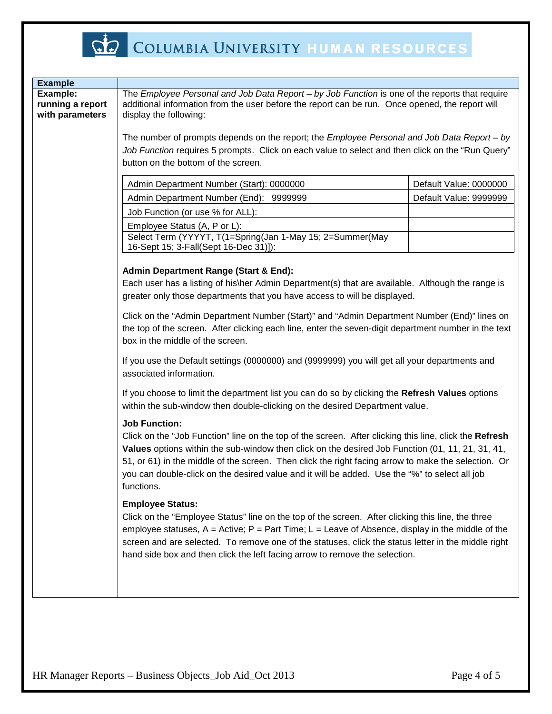

| <b>Example</b>               |                                                                                                                                                                                                                                                                                                                                                                                                                                                          |                        |  |
|------------------------------|----------------------------------------------------------------------------------------------------------------------------------------------------------------------------------------------------------------------------------------------------------------------------------------------------------------------------------------------------------------------------------------------------------------------------------------------------------|------------------------|--|
| Example:<br>running a report | The Employee Personal and Job Data Report - by Job Function is one of the reports that require<br>additional information from the user before the report can be run. Once opened, the report will                                                                                                                                                                                                                                                        |                        |  |
| with parameters              | display the following:                                                                                                                                                                                                                                                                                                                                                                                                                                   |                        |  |
|                              | The number of prompts depends on the report; the <i>Employee Personal and Job Data Report - by</i><br>Job Function requires 5 prompts. Click on each value to select and then click on the "Run Query"<br>button on the bottom of the screen.                                                                                                                                                                                                            |                        |  |
|                              | Admin Department Number (Start): 0000000                                                                                                                                                                                                                                                                                                                                                                                                                 | Default Value: 0000000 |  |
|                              | Admin Department Number (End): 9999999                                                                                                                                                                                                                                                                                                                                                                                                                   | Default Value: 9999999 |  |
|                              | Job Function (or use % for ALL):                                                                                                                                                                                                                                                                                                                                                                                                                         |                        |  |
|                              | Employee Status (A, P or L):                                                                                                                                                                                                                                                                                                                                                                                                                             |                        |  |
|                              | Select Term (YYYYT, T(1=Spring(Jan 1-May 15; 2=Summer(May<br>16-Sept 15; 3-Fall(Sept 16-Dec 31)]):                                                                                                                                                                                                                                                                                                                                                       |                        |  |
|                              | <b>Admin Department Range (Start &amp; End):</b><br>Each user has a listing of his\her Admin Department(s) that are available. Although the range is<br>greater only those departments that you have access to will be displayed.                                                                                                                                                                                                                        |                        |  |
|                              | Click on the "Admin Department Number (Start)" and "Admin Department Number (End)" lines on<br>the top of the screen. After clicking each line, enter the seven-digit department number in the text<br>box in the middle of the screen.                                                                                                                                                                                                                  |                        |  |
|                              | If you use the Default settings (0000000) and (9999999) you will get all your departments and<br>associated information.                                                                                                                                                                                                                                                                                                                                 |                        |  |
|                              | If you choose to limit the department list you can do so by clicking the Refresh Values options<br>within the sub-window then double-clicking on the desired Department value.                                                                                                                                                                                                                                                                           |                        |  |
|                              | <b>Job Function:</b><br>Click on the "Job Function" line on the top of the screen. After clicking this line, click the Refresh<br>Values options within the sub-window then click on the desired Job Function (01, 11, 21, 31, 41,<br>51, or 61) in the middle of the screen. Then click the right facing arrow to make the selection. Or<br>you can double-click on the desired value and it will be added. Use the "%" to select all job<br>functions. |                        |  |
|                              | <b>Employee Status:</b><br>Click on the "Employee Status" line on the top of the screen. After clicking this line, the three<br>employee statuses, $A =$ Active; $P =$ Part Time; $L =$ Leave of Absence, display in the middle of the<br>screen and are selected. To remove one of the statuses, click the status letter in the middle right<br>hand side box and then click the left facing arrow to remove the selection.                             |                        |  |
|                              |                                                                                                                                                                                                                                                                                                                                                                                                                                                          |                        |  |